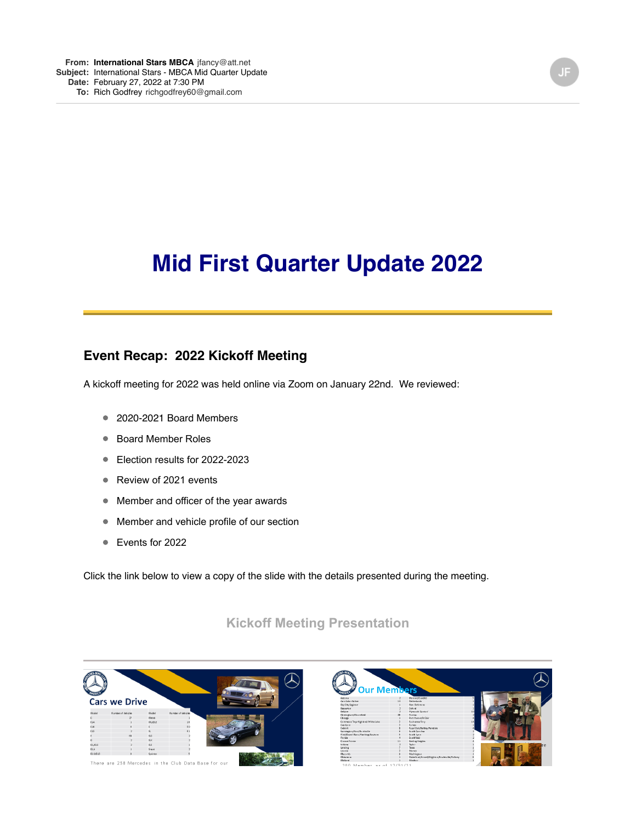# **Mid First Quarter Update 2022**

### **Event Recap: 2022 Kickoff Meeting**

A kickoff meeting for 2022 was held online via Zoom on January 22nd. We reviewed:

- 2020-2021 Board Members
- Board Member Roles
- Election results for 2022-2023
- Review of 2021 events
- Member and officer of the year awards
- Member and vehicle profile of our section
- Events for 2022

Click the link below to view a copy of the slide with the details presented during the meeting.

#### **[Kickoff Meeting Presentation](https://mbca.us18.list-manage.com/track/click?u=36eae5f0e9d5854e5c30c094d&id=0354e295a3&e=65ab92573a)**



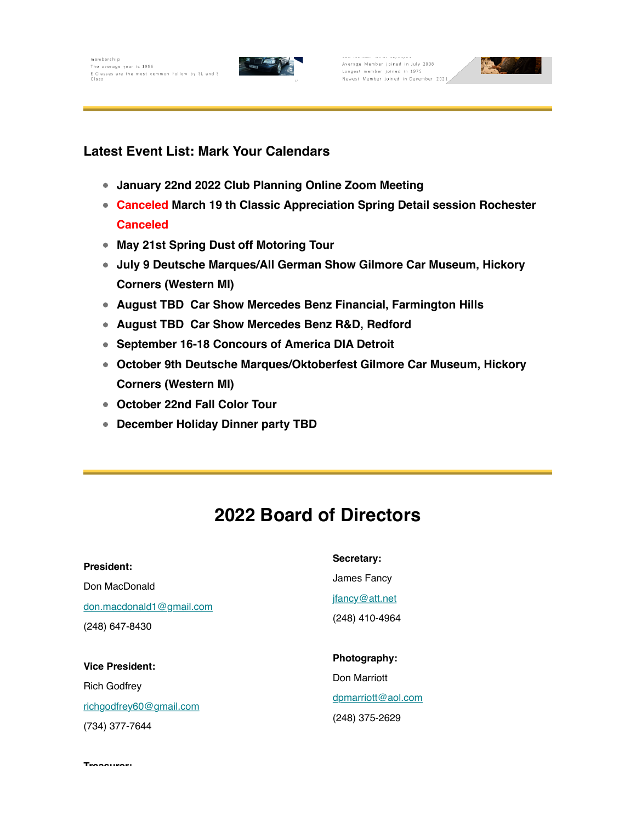membership The average year is 1996 The average year is 1996<br>E Classes are the most common follow by SL and S<br>Class



Average Member joined in July 2008 Longest member joined in 1975 Newest Member joined in December 2021



#### **Latest Event List: Mark Your Calendars**

- **January 22nd 2022 Club Planning Online Zoom Meeting**
- **Canceled March 19 th Classic Appreciation Spring Detail session Rochester Canceled**
- **May 21st Spring Dust off Motoring Tour**
- **July 9 Deutsche Marques/All German Show Gilmore Car Museum, Hickory Corners (Western MI)**
- **August TBD Car Show Mercedes Benz Financial, Farmington Hills**
- **August TBD Car Show Mercedes Benz R&D, Redford**
- **September 16-18 Concours of America DIA Detroit**
- **October 9th Deutsche Marques/Oktoberfest Gilmore Car Museum, Hickory Corners (Western MI)**
- **October 22nd Fall Color Tour**
- **December Holiday Dinner party TBD**

## **2022 Board of Directors**

| President:                                                    | Secretary:                                      |
|---------------------------------------------------------------|-------------------------------------------------|
| Don MacDonald<br>don.macdonald1@gmail.com<br>$(248)$ 647-8430 | James Fancy<br>jfancy@att.net<br>(248) 410-4964 |
| <b>Vice President:</b>                                        | Photography:                                    |
| <b>Rich Godfrey</b>                                           | Don Marriott<br>dpmarriott@aol.com              |
| richgodfrey60@gmail.com<br>(734) 377-7644                     | (248) 375-2629                                  |